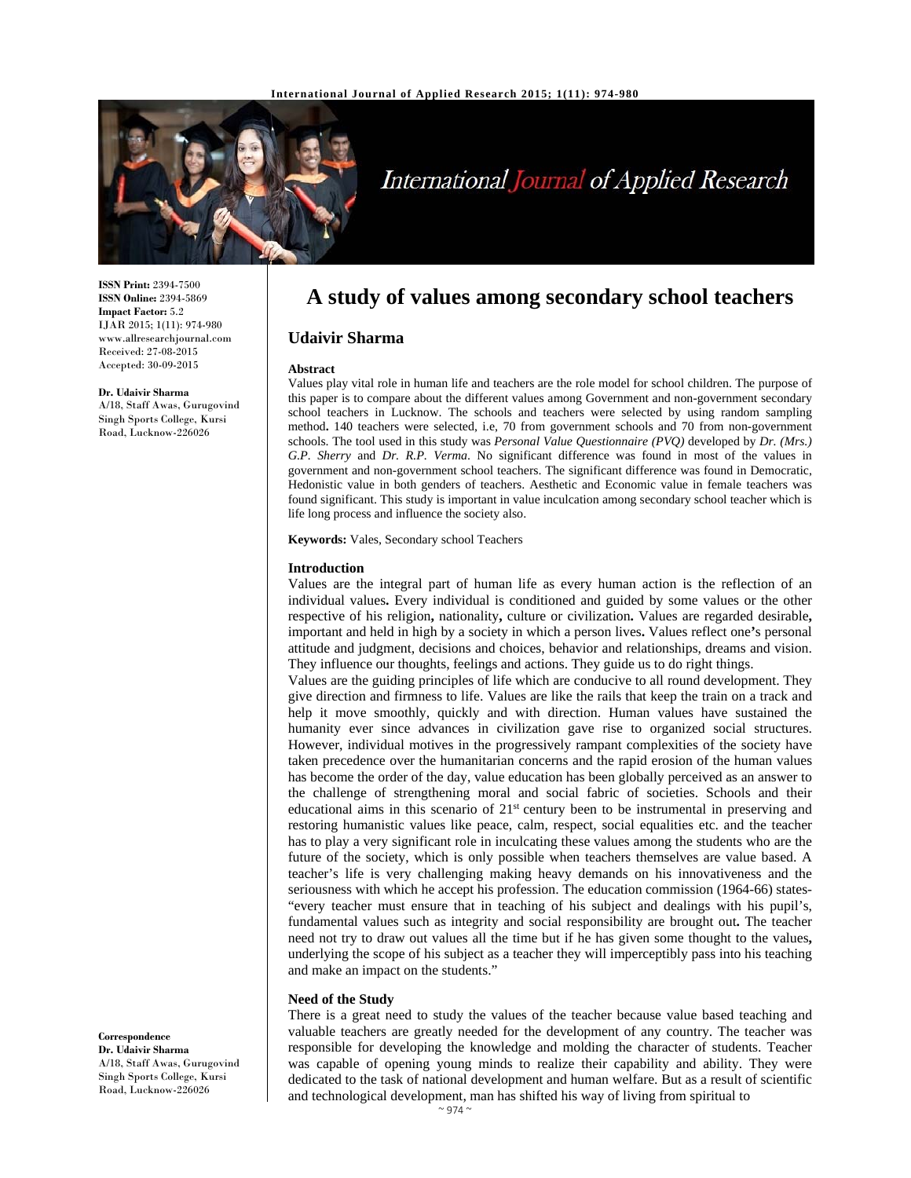

# International Journal of Applied Research

**ISSN Print:** 2394-7500 **ISSN Online:** 2394-5869 **Impact Factor:** 5.2 IJAR 2015; 1(11): 974-980 www.allresearchjournal.com Received: 27-08-2015 Accepted: 30-09-2015

**Dr. Udaivir Sharma**  A/18, Staff Awas, Gurugovind Singh Sports College, Kursi Road, Lucknow-226026

**A study of values among secondary school teachers** 

# **Udaivir Sharma**

#### **Abstract**

Values play vital role in human life and teachers are the role model for school children. The purpose of this paper is to compare about the different values among Government and non-government secondary school teachers in Lucknow. The schools and teachers were selected by using random sampling method**.** 140 teachers were selected, i.e, 70 from government schools and 70 from non-government schools. The tool used in this study was *Personal Value Questionnaire (PVQ)* developed by *Dr. (Mrs.) G.P. Sherry* and *Dr. R.P. Verma*. No significant difference was found in most of the values in government and non-government school teachers. The significant difference was found in Democratic, Hedonistic value in both genders of teachers. Aesthetic and Economic value in female teachers was found significant. This study is important in value inculcation among secondary school teacher which is life long process and influence the society also.

**Keywords:** Vales, Secondary school Teachers

#### **Introduction**

Values are the integral part of human life as every human action is the reflection of an individual values**.** Every individual is conditioned and guided by some values or the other respective of his religion**,** nationality**,** culture or civilization**.** Values are regarded desirable**,** important and held in high by a society in which a person lives**.** Values reflect one**'**s personal attitude and judgment, decisions and choices, behavior and relationships, dreams and vision. They influence our thoughts, feelings and actions. They guide us to do right things.

Values are the guiding principles of life which are conducive to all round development. They give direction and firmness to life. Values are like the rails that keep the train on a track and help it move smoothly, quickly and with direction. Human values have sustained the humanity ever since advances in civilization gave rise to organized social structures. However, individual motives in the progressively rampant complexities of the society have taken precedence over the humanitarian concerns and the rapid erosion of the human values has become the order of the day, value education has been globally perceived as an answer to the challenge of strengthening moral and social fabric of societies. Schools and their educational aims in this scenario of 21<sup>st</sup> century been to be instrumental in preserving and restoring humanistic values like peace, calm, respect, social equalities etc. and the teacher has to play a very significant role in inculcating these values among the students who are the future of the society, which is only possible when teachers themselves are value based. A teacher's life is very challenging making heavy demands on his innovativeness and the seriousness with which he accept his profession. The education commission (1964-66) states- "every teacher must ensure that in teaching of his subject and dealings with his pupil's, fundamental values such as integrity and social responsibility are brought out**.** The teacher need not try to draw out values all the time but if he has given some thought to the values**,** underlying the scope of his subject as a teacher they will imperceptibly pass into his teaching and make an impact on the students."

#### **Need of the Study**

There is a great need to study the values of the teacher because value based teaching and valuable teachers are greatly needed for the development of any country. The teacher was responsible for developing the knowledge and molding the character of students. Teacher was capable of opening young minds to realize their capability and ability. They were dedicated to the task of national development and human welfare. But as a result of scientific and technological development, man has shifted his way of living from spiritual to

**Correspondence Dr. Udaivir Sharma**  A/18, Staff Awas, Gurugovind Singh Sports College, Kursi Road, Lucknow-226026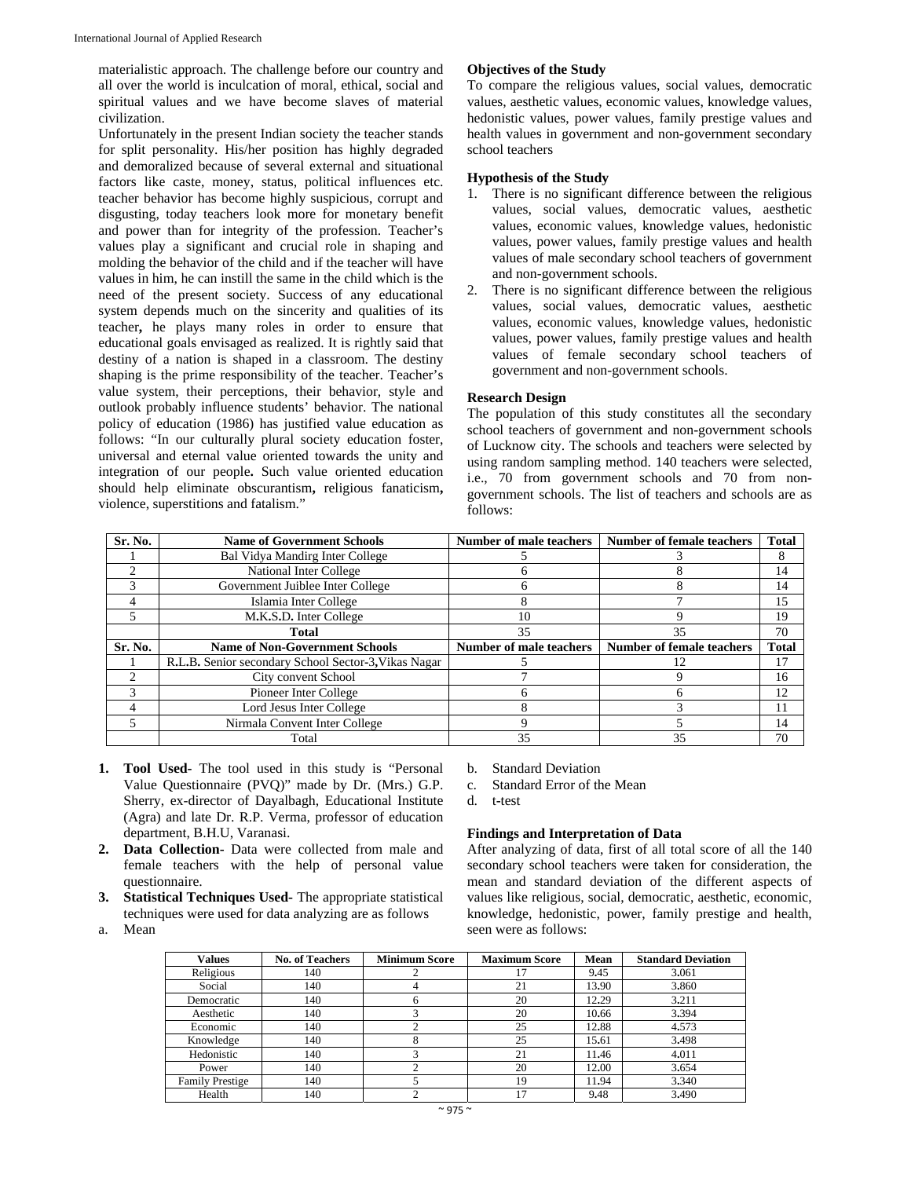materialistic approach. The challenge before our country and all over the world is inculcation of moral, ethical, social and spiritual values and we have become slaves of material civilization.

Unfortunately in the present Indian society the teacher stands for split personality. His/her position has highly degraded and demoralized because of several external and situational factors like caste, money, status, political influences etc. teacher behavior has become highly suspicious, corrupt and disgusting, today teachers look more for monetary benefit and power than for integrity of the profession. Teacher's values play a significant and crucial role in shaping and molding the behavior of the child and if the teacher will have values in him, he can instill the same in the child which is the need of the present society. Success of any educational system depends much on the sincerity and qualities of its teacher**,** he plays many roles in order to ensure that educational goals envisaged as realized. It is rightly said that destiny of a nation is shaped in a classroom. The destiny shaping is the prime responsibility of the teacher. Teacher's value system, their perceptions, their behavior, style and outlook probably influence students' behavior. The national policy of education (1986) has justified value education as follows: "In our culturally plural society education foster, universal and eternal value oriented towards the unity and integration of our people**.** Such value oriented education should help eliminate obscurantism**,** religious fanaticism**,** violence, superstitions and fatalism."

## **Objectives of the Study**

To compare the religious values, social values, democratic values, aesthetic values, economic values, knowledge values, hedonistic values, power values, family prestige values and health values in government and non-government secondary school teachers

## **Hypothesis of the Study**

- 1. There is no significant difference between the religious values, social values, democratic values, aesthetic values, economic values, knowledge values, hedonistic values, power values, family prestige values and health values of male secondary school teachers of government and non-government schools.
- 2. There is no significant difference between the religious values, social values, democratic values, aesthetic values, economic values, knowledge values, hedonistic values, power values, family prestige values and health values of female secondary school teachers of government and non-government schools.

# **Research Design**

The population of this study constitutes all the secondary school teachers of government and non-government schools of Lucknow city. The schools and teachers were selected by using random sampling method. 140 teachers were selected, i.e., 70 from government schools and 70 from nongovernment schools. The list of teachers and schools are as follows:

| Sr. No. | <b>Name of Government Schools</b>                    | Number of male teachers        | <b>Number of female teachers</b> | Total |
|---------|------------------------------------------------------|--------------------------------|----------------------------------|-------|
|         | <b>Bal Vidya Mandirg Inter College</b>               |                                |                                  | 8     |
|         | National Inter College                               |                                |                                  | 14    |
|         | Government Juiblee Inter College                     |                                |                                  | 14    |
|         | Islamia Inter College                                |                                |                                  | 15    |
|         | M.K.S.D. Inter College                               | 10                             |                                  | 19    |
|         | <b>Total</b>                                         | 35                             | 35                               | 70    |
| Sr. No. | <b>Name of Non-Government Schools</b>                | <b>Number of male teachers</b> | <b>Number of female teachers</b> | Total |
|         | R.L.B. Senior secondary School Sector-3, Vikas Nagar |                                | 12                               | 17    |
|         | City convent School                                  |                                |                                  | 16    |
|         | Pioneer Inter College                                | n                              |                                  | 12    |
|         | Lord Jesus Inter College                             |                                |                                  | 11    |
|         | Nirmala Convent Inter College                        | q                              |                                  | 14    |
|         | Total                                                | 35                             | 35                               | 70    |

- **1. Tool Used-** The tool used in this study is "Personal Value Questionnaire (PVQ)" made by Dr. (Mrs.) G.P. Sherry, ex-director of Dayalbagh, Educational Institute (Agra) and late Dr. R.P. Verma, professor of education department, B.H.U, Varanasi.
- **2. Data Collection-** Data were collected from male and female teachers with the help of personal value questionnaire.
- **3. Statistical Techniques Used-** The appropriate statistical techniques were used for data analyzing are as follows
- a. Mean
- b. Standard Deviation
- c. Standard Error of the Mean
- d. t**-**test

# **Findings and Interpretation of Data**

After analyzing of data, first of all total score of all the 140 secondary school teachers were taken for consideration, the mean and standard deviation of the different aspects of values like religious, social, democratic, aesthetic, economic, knowledge, hedonistic, power, family prestige and health, seen were as follows:

| Values                 | <b>No. of Teachers</b> | <b>Minimum Score</b> | <b>Maximum Score</b> | Mean  | <b>Standard Deviation</b> |
|------------------------|------------------------|----------------------|----------------------|-------|---------------------------|
| Religious              | 140                    |                      |                      | 9.45  | 3.061                     |
| Social                 | 140                    | 4                    | 21                   | 13.90 | 3.860                     |
| Democratic             | 140                    | 6                    | 20                   | 12.29 | 3.211                     |
| Aesthetic              | 140                    |                      | 20                   | 10.66 | 3.394                     |
| Economic               | 140                    |                      | 25                   | 12.88 | 4.573                     |
| Knowledge              | 140                    | Ω                    | 25                   | 15.61 | 3.498                     |
| Hedonistic             | 140                    |                      | 21                   | 11.46 | 4.011                     |
| Power                  | 140                    |                      | 20                   | 12.00 | 3.654                     |
| <b>Family Prestige</b> | 140                    |                      | 19                   | 11.94 | 3.340                     |
| Health                 | 140                    |                      | 17                   | 9.48  | 3.490                     |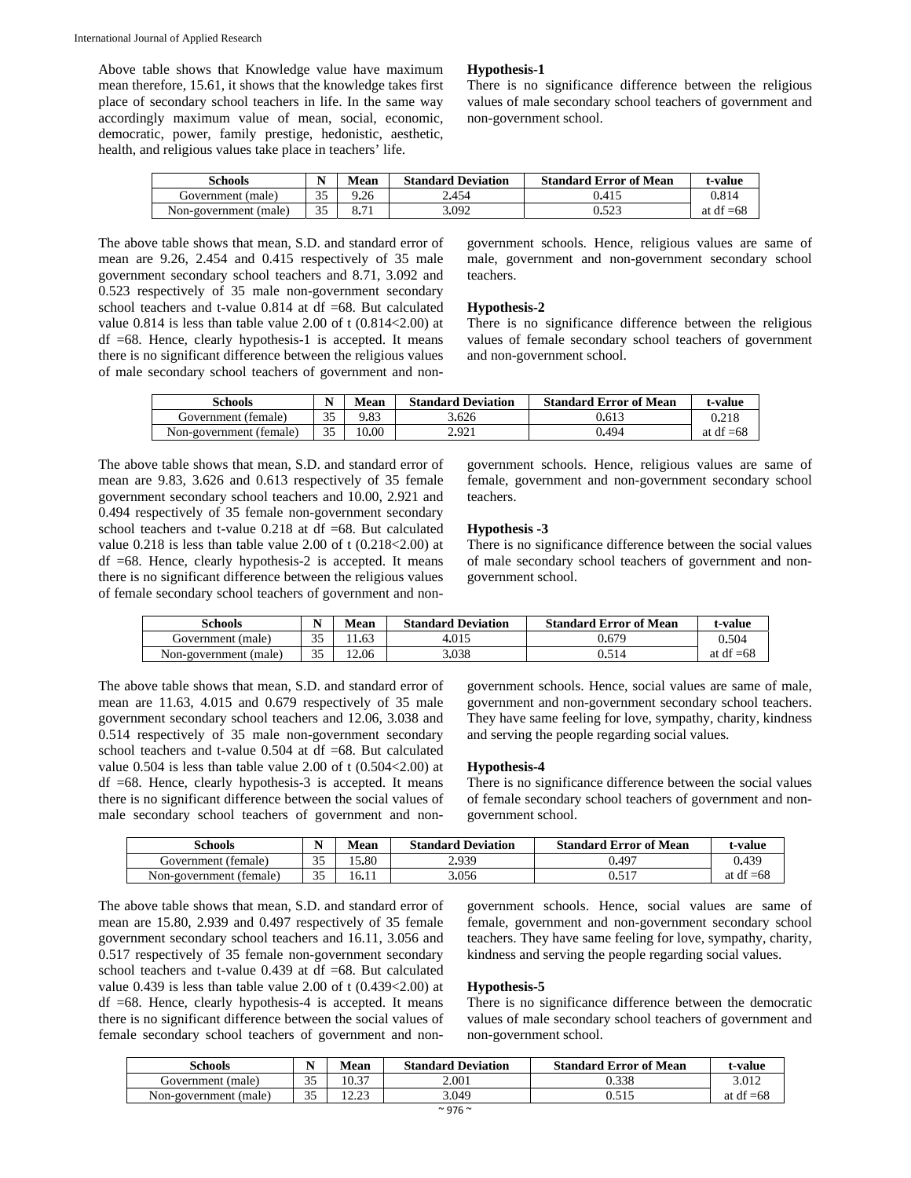Above table shows that Knowledge value have maximum mean therefore, 15.61, it shows that the knowledge takes first place of secondary school teachers in life. In the same way accordingly maximum value of mean, social, economic, democratic, power, family prestige, hedonistic, aesthetic, health, and religious values take place in teachers' life.

#### **Hypothesis-1**

There is no significance difference between the religious values of male secondary school teachers of government and non-government school.

| <b>Schools</b>        | <b>NT</b>     | Mean         | <b>Standard Deviation</b> | <b>Standard Error of Mean</b> | t-value     |
|-----------------------|---------------|--------------|---------------------------|-------------------------------|-------------|
| Government (male)     | $\sim$ $\sim$ | 9.26         | 2.454                     | 0.415                         | 0.814       |
| Non-government (male) | n F           | די מ<br>0.11 | 3.092                     | 0.523                         | at df $=68$ |

The above table shows that mean, S.D. and standard error of mean are 9.26, 2.454 and 0.415 respectively of 35 male government secondary school teachers and 8.71, 3.092 and 0.523 respectively of 35 male non-government secondary school teachers and t-value 0.814 at df =68. But calculated value  $0.814$  is less than table value 2.00 of t  $(0.814<2.00)$  at  $df =68$ . Hence, clearly hypothesis-1 is accepted. It means there is no significant difference between the religious values of male secondary school teachers of government and non-

government schools. Hence, religious values are same of male, government and non-government secondary school teachers.

#### **Hypothesis-2**

There is no significance difference between the religious values of female secondary school teachers of government and non-government school.

| Schools                 |    | Mean  | <b>Standard Deviation</b> | <b>Standard Error of Mean</b> | t-value     |
|-------------------------|----|-------|---------------------------|-------------------------------|-------------|
| Government (female)     | 35 | 9.83  | 3.626                     | 0.613                         | 0.218       |
| Non-government (female) | 35 | 10.00 | 2.921                     | 0.494                         | at df $=68$ |

The above table shows that mean, S.D. and standard error of mean are 9.83, 3.626 and 0.613 respectively of 35 female government secondary school teachers and 10.00, 2.921 and 0.494 respectively of 35 female non-government secondary school teachers and t-value 0.218 at df =68. But calculated value 0.218 is less than table value 2.00 of t (0.218<2.00) at  $df =68$ . Hence, clearly hypothesis-2 is accepted. It means there is no significant difference between the religious values of female secondary school teachers of government and nongovernment schools. Hence, religious values are same of female, government and non-government secondary school teachers.

## **Hypothesis -3**

There is no significance difference between the social values of male secondary school teachers of government and nongovernment school.

| <b>Schools</b>        | <b>NT</b> | <b>Mean</b> | <b>Standard Deviation</b> | <b>Standard Error of Mean</b> | t-value     |
|-----------------------|-----------|-------------|---------------------------|-------------------------------|-------------|
| Government (male)     | $\Omega$  |             | 4.015                     | 0.679                         | 0.504       |
| Non-government (male) | 35        | 12.06       | 3.038                     | 0.514                         | at df $=68$ |

The above table shows that mean, S.D. and standard error of mean are 11.63, 4.015 and 0.679 respectively of 35 male government secondary school teachers and 12.06, 3.038 and 0.514 respectively of 35 male non-government secondary school teachers and t-value 0.504 at df =68. But calculated value 0.504 is less than table value 2.00 of t (0.504<2.00) at  $df =68$ . Hence, clearly hypothesis-3 is accepted. It means there is no significant difference between the social values of male secondary school teachers of government and non-

government schools. Hence, social values are same of male, government and non-government secondary school teachers. They have same feeling for love, sympathy, charity, kindness and serving the people regarding social values.

#### **Hypothesis-4**

There is no significance difference between the social values of female secondary school teachers of government and nongovernment school.

| Schools                 | <b>NT</b>          | Mean  | <b>Standard Deviation</b> | <b>Standard Error of Mean</b> | t-value     |
|-------------------------|--------------------|-------|---------------------------|-------------------------------|-------------|
| Government (female)     | $\sim$ $\sim$      | .5.80 | 2.939                     | 0.497                         | 0.439       |
| Non-government (female) | $\sim$ $\sim$<br>ັ | 16.11 | 3.056                     | 0.517                         | at df $=68$ |

The above table shows that mean, S.D. and standard error of mean are 15.80, 2.939 and 0.497 respectively of 35 female government secondary school teachers and 16.11, 3.056 and 0.517 respectively of 35 female non-government secondary school teachers and t-value  $0.439$  at df  $=68$ . But calculated value 0.439 is less than table value 2.00 of t (0.439<2.00) at  $df =68$ . Hence, clearly hypothesis-4 is accepted. It means there is no significant difference between the social values of female secondary school teachers of government and nongovernment schools. Hence, social values are same of female, government and non-government secondary school teachers. They have same feeling for love, sympathy, charity, kindness and serving the people regarding social values.

# **Hypothesis-5**

There is no significance difference between the democratic values of male secondary school teachers of government and non-government school.

| Schools                  | - -                           | <b>Mean</b>      | <b>Standard Deviation</b> | <b>Standard Error of Mean</b> | t-value         |
|--------------------------|-------------------------------|------------------|---------------------------|-------------------------------|-----------------|
| Government (male)        | $\sim$ $\sim$<br>ັ            | 10.37            | 2.001                     | ).338                         | 3.012           |
| (male)<br>Non-government | $\overline{\phantom{a}}$<br>ັ | 10.22<br>ر ے . ب | 3.049                     | 0.515                         | at df<br>$= 68$ |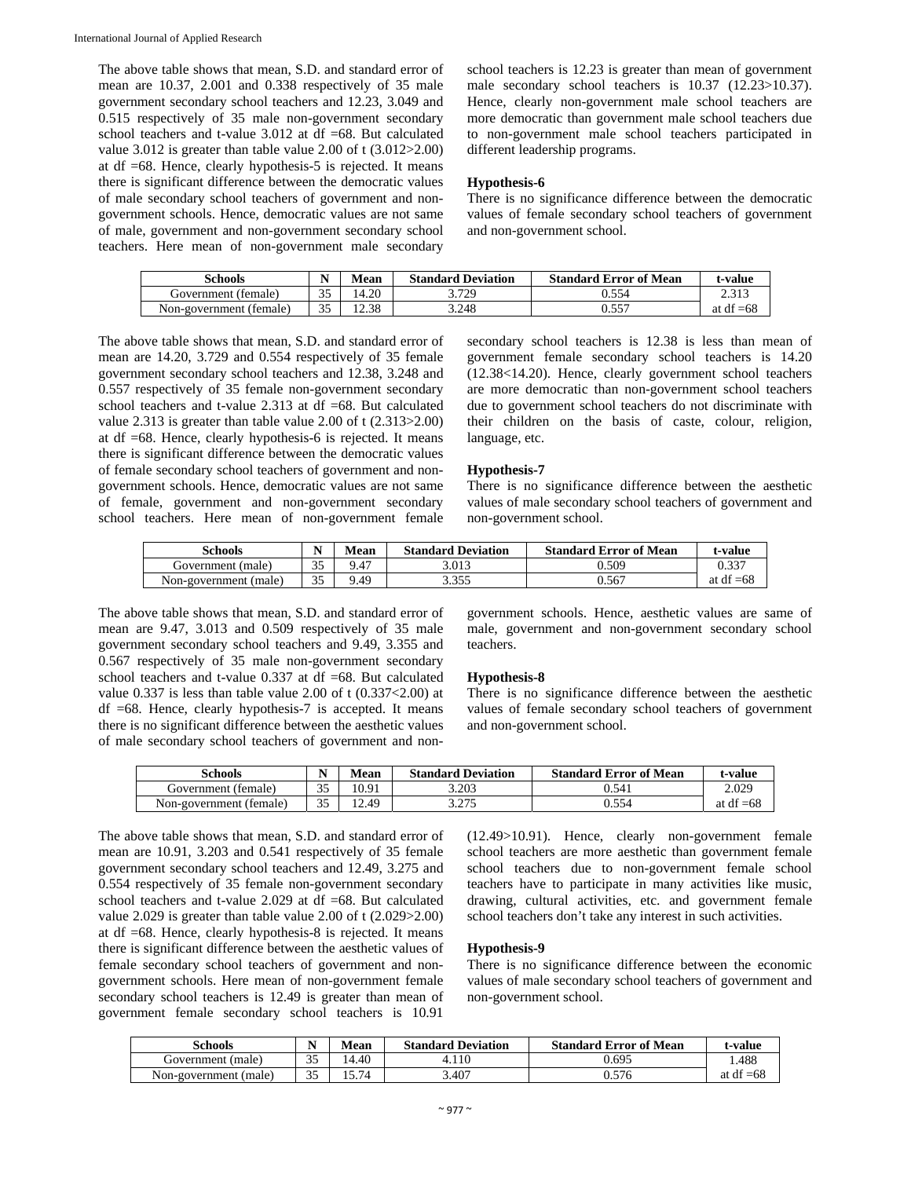The above table shows that mean, S.D. and standard error of mean are 10.37, 2.001 and 0.338 respectively of 35 male government secondary school teachers and 12.23, 3.049 and 0.515 respectively of 35 male non-government secondary school teachers and t-value 3.012 at df =68. But calculated value 3.012 is greater than table value 2.00 of t (3.012>2.00) at df =68. Hence, clearly hypothesis-5 is rejected. It means there is significant difference between the democratic values of male secondary school teachers of government and nongovernment schools. Hence, democratic values are not same of male, government and non-government secondary school teachers. Here mean of non-government male secondary

school teachers is 12.23 is greater than mean of government male secondary school teachers is 10.37 (12.23>10.37). Hence, clearly non-government male school teachers are more democratic than government male school teachers due to non-government male school teachers participated in different leadership programs.

#### **Hypothesis-6**

There is no significance difference between the democratic values of female secondary school teachers of government and non-government school.

| Schools                 | <b>BT</b><br>IN. | Mean       | <b>Standard Deviation</b> | <b>Standard Error of Mean</b> | t-value         |
|-------------------------|------------------|------------|---------------------------|-------------------------------|-----------------|
| Government (female)     | $\cap$<br>ر ر    | $+20$<br>4 | 3.729                     | ).554                         | 2.313           |
| Non-government (female) | 25               | .2.38      | 3.248                     |                               | $= 68$<br>at df |

The above table shows that mean, S.D. and standard error of mean are 14.20, 3.729 and 0.554 respectively of 35 female government secondary school teachers and 12.38, 3.248 and 0.557 respectively of 35 female non-government secondary school teachers and t-value 2.313 at df =68. But calculated value 2.313 is greater than table value 2.00 of t (2.313>2.00) at df =68. Hence, clearly hypothesis-6 is rejected. It means there is significant difference between the democratic values of female secondary school teachers of government and nongovernment schools. Hence, democratic values are not same of female, government and non-government secondary school teachers. Here mean of non-government female

secondary school teachers is 12.38 is less than mean of government female secondary school teachers is 14.20 (12.38<14.20). Hence, clearly government school teachers are more democratic than non-government school teachers due to government school teachers do not discriminate with their children on the basis of caste, colour, religion, language, etc.

## **Hypothesis-7**

There is no significance difference between the aesthetic values of male secondary school teachers of government and non-government school.

| Schools               | $\mathbf{r}$<br>N | Mean | <b>Standard Deviation</b> | <b>Standard Error of Mean</b> | t-value     |
|-----------------------|-------------------|------|---------------------------|-------------------------------|-------------|
| Government (male)     | n F               | 9.47 | 3.013                     | $0.50^{\circ}$                | 0.337       |
| Non-government (male) | 35                | 9.49 | 3355<br>                  | J.567                         | at df $=68$ |

The above table shows that mean, S.D. and standard error of mean are 9.47, 3.013 and 0.509 respectively of 35 male government secondary school teachers and 9.49, 3.355 and 0.567 respectively of 35 male non-government secondary school teachers and t-value 0.337 at df =68. But calculated value 0.337 is less than table value 2.00 of t (0.337<2.00) at  $df =68$ . Hence, clearly hypothesis-7 is accepted. It means there is no significant difference between the aesthetic values of male secondary school teachers of government and nongovernment schools. Hence, aesthetic values are same of male, government and non-government secondary school teachers.

#### **Hypothesis-8**

There is no significance difference between the aesthetic values of female secondary school teachers of government and non-government school.

| Schools                 |          | Mean | <b>Standard Deviation</b> | <b>Standard Error of Mean</b> | t-value     |
|-------------------------|----------|------|---------------------------|-------------------------------|-------------|
| Government (female)     | $\cap$   | 0.91 | 3.203                     | 0.541                         | 2.029       |
| Non-government (female) | $\Omega$ | 2.49 | .275<br>ل ایک د           | 0.554                         | at df $=68$ |

The above table shows that mean, S.D. and standard error of mean are 10.91, 3.203 and 0.541 respectively of 35 female government secondary school teachers and 12.49, 3.275 and 0.554 respectively of 35 female non-government secondary school teachers and t-value 2.029 at df =68. But calculated value 2.029 is greater than table value 2.00 of t (2.029>2.00) at df =68. Hence, clearly hypothesis-8 is rejected. It means there is significant difference between the aesthetic values of female secondary school teachers of government and nongovernment schools. Here mean of non-government female secondary school teachers is 12.49 is greater than mean of government female secondary school teachers is 10.91

(12.49>10.91). Hence, clearly non-government female school teachers are more aesthetic than government female school teachers due to non-government female school teachers have to participate in many activities like music, drawing, cultural activities, etc. and government female school teachers don't take any interest in such activities.

#### **Hypothesis-9**

There is no significance difference between the economic values of male secondary school teachers of government and non-government school.

| <b>Schools</b>        | $\sim$ $\sim$ | Mean  | <b>Standard Deviation</b> | <b>Standard Error of Mean</b> | .-value     |
|-----------------------|---------------|-------|---------------------------|-------------------------------|-------------|
| Government (male)     | 25<br>ر ر     | 4.40  | 4.110                     | 0.695                         | .488        |
| Non-government (male) | つよ            | 15.74 | 3.407                     | 0.576                         | at df $=68$ |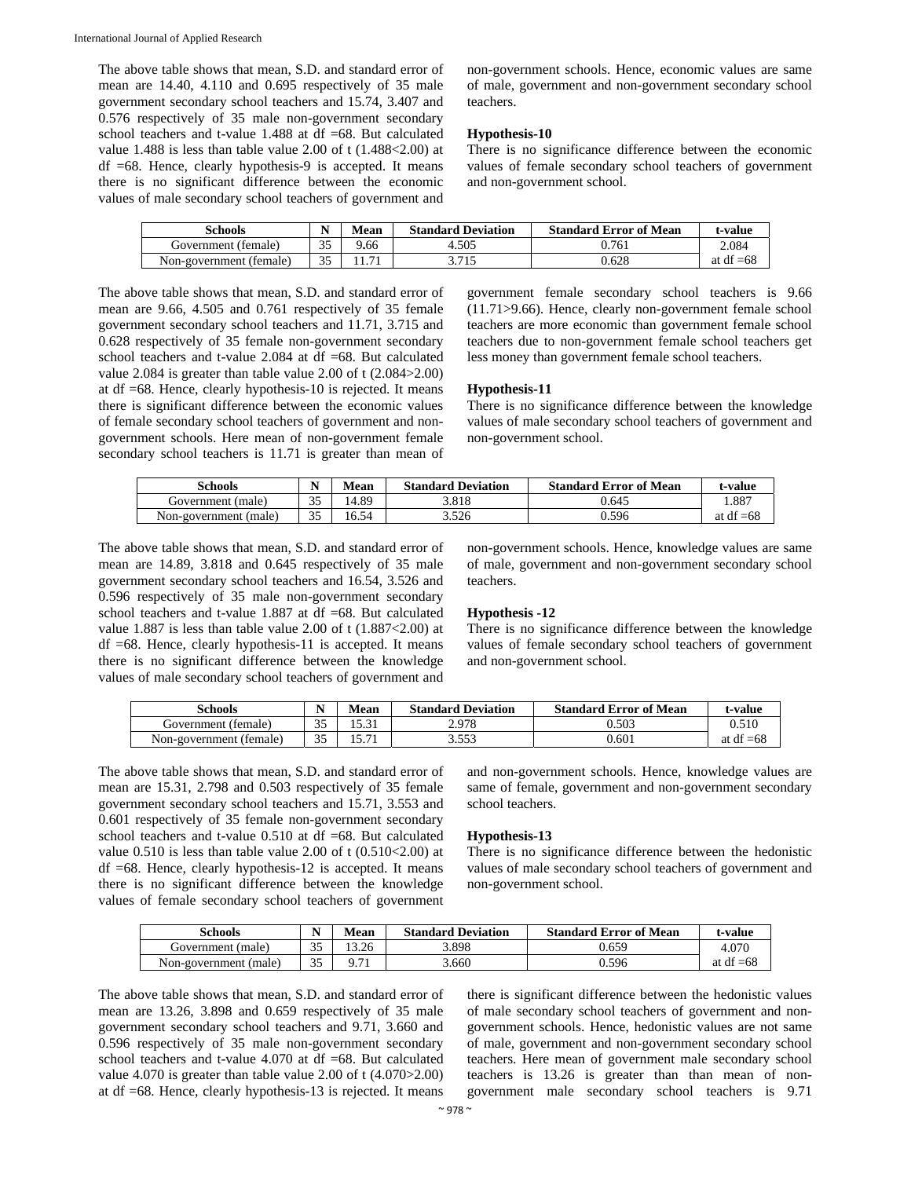The above table shows that mean, S.D. and standard error of mean are 14.40, 4.110 and 0.695 respectively of 35 male government secondary school teachers and 15.74, 3.407 and 0.576 respectively of 35 male non-government secondary school teachers and t-value 1.488 at df =68. But calculated value 1.488 is less than table value 2.00 of t (1.488<2.00) at  $df =68$ . Hence, clearly hypothesis-9 is accepted. It means there is no significant difference between the economic values of male secondary school teachers of government and non-government schools. Hence, economic values are same of male, government and non-government secondary school teachers.

#### **Hypothesis-10**

There is no significance difference between the economic values of female secondary school teachers of government and non-government school.

| Schools                 | N      | Mean | <b>Standard Deviation</b> | <b>Standard Error of Mean</b> | t-value     |
|-------------------------|--------|------|---------------------------|-------------------------------|-------------|
| Government (female)     | $\cap$ | 9.66 | 4.505                     | 0.761                         | 2.084       |
| Non-government (female) | ΩE     |      | 3.715                     | 0.628                         | at df $=68$ |

The above table shows that mean, S.D. and standard error of mean are 9.66, 4.505 and 0.761 respectively of 35 female government secondary school teachers and 11.71, 3.715 and 0.628 respectively of 35 female non-government secondary school teachers and t-value 2.084 at df =68. But calculated value 2.084 is greater than table value 2.00 of t (2.084>2.00) at df =68. Hence, clearly hypothesis-10 is rejected. It means there is significant difference between the economic values of female secondary school teachers of government and nongovernment schools. Here mean of non-government female secondary school teachers is 11.71 is greater than mean of government female secondary school teachers is 9.66 (11.71>9.66). Hence, clearly non-government female school teachers are more economic than government female school teachers due to non-government female school teachers get less money than government female school teachers.

# **Hypothesis-11**

There is no significance difference between the knowledge values of male secondary school teachers of government and non-government school.

| Schools               | N      | Mean  | <b>Standard Deviation</b> | <b>Standard Error of Mean</b> | t-value     |
|-----------------------|--------|-------|---------------------------|-------------------------------|-------------|
| Government (male)     | $\sim$ | 4.89ء | 3.818                     | 0.645                         | 1.887       |
| Non-government (male) | 25     | 16.54 | 3.526                     | 0.596                         | at df $=68$ |

The above table shows that mean, S.D. and standard error of mean are 14.89, 3.818 and 0.645 respectively of 35 male government secondary school teachers and 16.54, 3.526 and 0.596 respectively of 35 male non-government secondary school teachers and t-value 1.887 at df =68. But calculated value 1.887 is less than table value 2.00 of t (1.887<2.00) at df =68. Hence, clearly hypothesis-11 is accepted. It means there is no significant difference between the knowledge values of male secondary school teachers of government and non-government schools. Hence, knowledge values are same of male, government and non-government secondary school teachers.

# **Hypothesis -12**

There is no significance difference between the knowledge values of female secondary school teachers of government and non-government school.

| Schools                 | N  | vlean               | <b>Standard Deviation</b> | <b>Standard Error of Mean</b> | t-value     |
|-------------------------|----|---------------------|---------------------------|-------------------------------|-------------|
| Government (female)     | つよ | $\sim$ 0.1<br>10.OI | 2.978                     | 0.503                         | 0.510       |
| Non-government (female) | つぐ | 1 J . / 1           | 2552<br>J.JJJ             | 0.601                         | at df $=68$ |

The above table shows that mean, S.D. and standard error of mean are 15.31, 2.798 and 0.503 respectively of 35 female government secondary school teachers and 15.71, 3.553 and 0.601 respectively of 35 female non-government secondary school teachers and t-value 0.510 at df =68. But calculated value  $0.510$  is less than table value  $2.00$  of t  $(0.510<2.00)$  at  $df = 68$ . Hence, clearly hypothesis-12 is accepted. It means there is no significant difference between the knowledge values of female secondary school teachers of government and non-government schools. Hence, knowledge values are same of female, government and non-government secondary school teachers.

# **Hypothesis-13**

There is no significance difference between the hedonistic values of male secondary school teachers of government and non-government school.

| Schools               | N  | Mean  | <b>Standard Deviation</b> | <b>Standard Error of Mean</b> | t-value     |
|-----------------------|----|-------|---------------------------|-------------------------------|-------------|
| Government (male)     | 25 | 13.26 | 3.898                     | ).659                         | 4.070       |
| Non-government (male) | 25 |       | 3.660                     | 0.596                         | at df $=68$ |

The above table shows that mean, S.D. and standard error of mean are 13.26, 3.898 and 0.659 respectively of 35 male government secondary school teachers and 9.71, 3.660 and 0.596 respectively of 35 male non-government secondary school teachers and t-value 4.070 at df =68. But calculated value 4.070 is greater than table value 2.00 of t (4.070>2.00) at df =68. Hence, clearly hypothesis-13 is rejected. It means there is significant difference between the hedonistic values of male secondary school teachers of government and nongovernment schools. Hence, hedonistic values are not same of male, government and non-government secondary school teachers. Here mean of government male secondary school teachers is 13.26 is greater than than mean of nongovernment male secondary school teachers is 9.71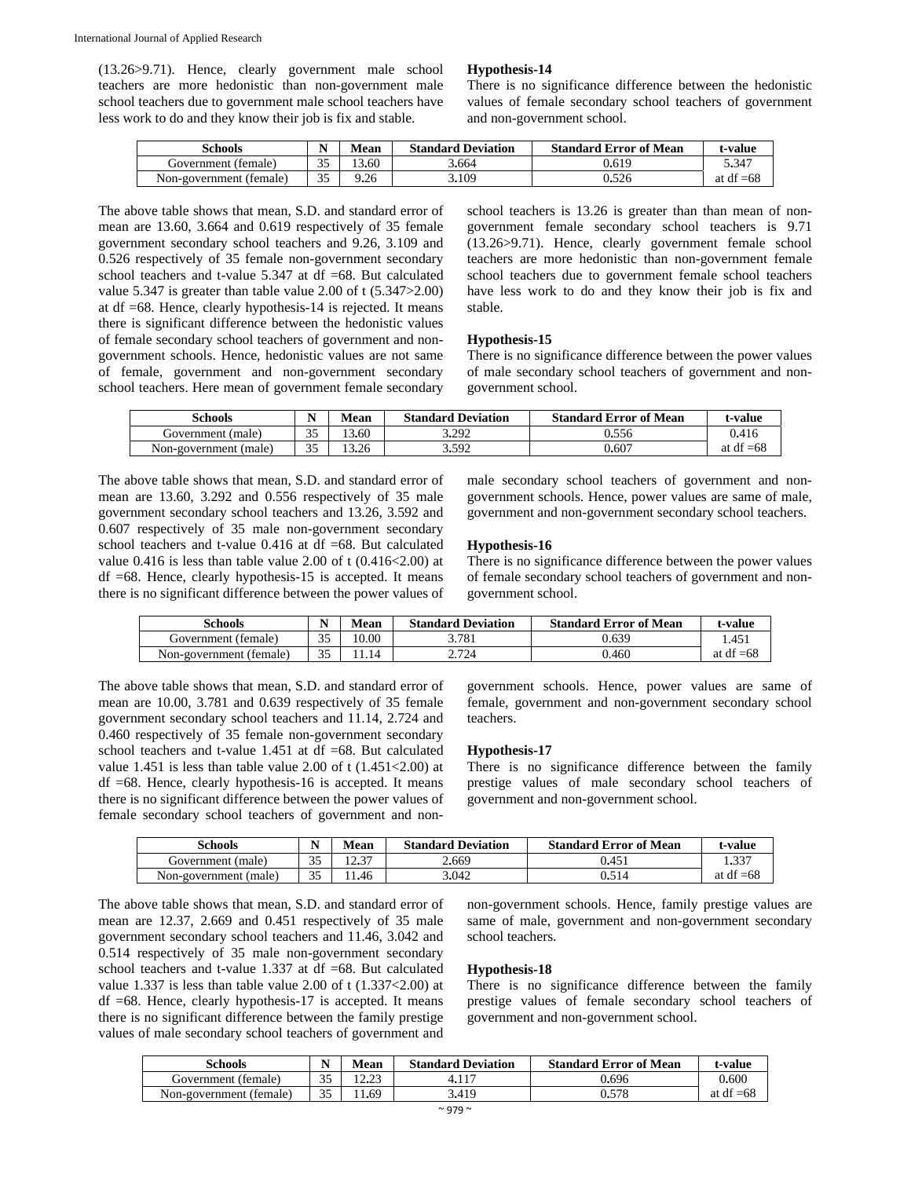(13.26>9.71). Hence, clearly government male school teachers are more hedonistic than non-government male school teachers due to government male school teachers have less work to do and they know their job is fix and stable.

#### **Hypothesis-14**

There is no significance difference between the hedonistic values of female secondary school teachers of government and non-government school.

| Schools                 | N         | Mean  | <b>Standard Deviation</b> | <b>Standard Error of Mean</b> | t-value     |
|-------------------------|-----------|-------|---------------------------|-------------------------------|-------------|
| Government (female)     | 25<br>ر ر | !3.60 | 3.664                     | 0.619                         | 5.347       |
| Non-government (female) | 35        | 9.26  | 3.109                     | 0.526                         | at df $=68$ |

The above table shows that mean, S.D. and standard error of mean are 13.60, 3.664 and 0.619 respectively of 35 female government secondary school teachers and 9.26, 3.109 and 0.526 respectively of 35 female non-government secondary school teachers and t-value 5.347 at df =68. But calculated value 5.347 is greater than table value 2.00 of t (5.347>2.00) at df =68. Hence, clearly hypothesis-14 is rejected. It means there is significant difference between the hedonistic values of female secondary school teachers of government and nongovernment schools. Hence, hedonistic values are not same of female, government and non-government secondary school teachers. Here mean of government female secondary school teachers is 13.26 is greater than than mean of nongovernment female secondary school teachers is 9.71 (13.26>9.71). Hence, clearly government female school teachers are more hedonistic than non-government female school teachers due to government female school teachers have less work to do and they know their job is fix and stable.

#### **Hypothesis-15**

There is no significance difference between the power values of male secondary school teachers of government and nongovernment school.

| Schools               |         | Mean  | <b>Standard Deviation</b> | <b>Standard Error of Mean</b> | t <b>-value</b> |
|-----------------------|---------|-------|---------------------------|-------------------------------|-----------------|
| Government (male)     | 25<br>ັ | 3.60  | 3.292                     | 0.556                         | 0.416           |
| Non-government (male) | 25<br>ັ | 13.26 | 3.592                     | 0.607                         | at df $=68$     |

The above table shows that mean, S.D. and standard error of mean are 13.60, 3.292 and 0.556 respectively of 35 male government secondary school teachers and 13.26, 3.592 and 0.607 respectively of 35 male non-government secondary school teachers and t-value 0.416 at df =68. But calculated value 0.416 is less than table value 2.00 of t (0.416<2.00) at  $df = 68$ . Hence, clearly hypothesis-15 is accepted. It means there is no significant difference between the power values of

male secondary school teachers of government and nongovernment schools. Hence, power values are same of male, government and non-government secondary school teachers.

#### **Hypothesis-16**

There is no significance difference between the power values of female secondary school teachers of government and nongovernment school.

| Schools                 | N  | Mean  | <b>Standard Deviation</b> | <b>Standard Error of Mean</b> | t-value     |
|-------------------------|----|-------|---------------------------|-------------------------------|-------------|
| Government (female)     | 35 | 10.00 | 3.781                     | 0.639                         | l.451       |
| Non-government (female) | 25 | .14   | 2.724                     | 0.460                         | at df $=68$ |

The above table shows that mean, S.D. and standard error of mean are 10.00, 3.781 and 0.639 respectively of 35 female government secondary school teachers and 11.14, 2.724 and 0.460 respectively of 35 female non-government secondary school teachers and t-value 1.451 at df =68. But calculated value 1.451 is less than table value 2.00 of t (1.451<2.00) at df =68. Hence, clearly hypothesis-16 is accepted. It means there is no significant difference between the power values of female secondary school teachers of government and nongovernment schools. Hence, power values are same of female, government and non-government secondary school teachers.

#### **Hypothesis-17**

There is no significance difference between the family prestige values of male secondary school teachers of government and non-government school.

| Schools               | N                | Mean  | <b>Standard Deviation</b> | <b>Standard Error of Mean</b> | t-value     |
|-----------------------|------------------|-------|---------------------------|-------------------------------|-------------|
| Government (male)     | $\cap$ $\subset$ | 10.27 | 2.669                     | 0.45                          | $1.33^{-}$  |
| Non-government (male) | $\Omega$         | 1.46  | 3.042                     | 0.514                         | at df $=68$ |

The above table shows that mean, S.D. and standard error of mean are 12.37, 2.669 and 0.451 respectively of 35 male government secondary school teachers and 11.46, 3.042 and 0.514 respectively of 35 male non-government secondary school teachers and t-value 1.337 at df =68. But calculated value 1.337 is less than table value 2.00 of t (1.337<2.00) at  $df = 68$ . Hence, clearly hypothesis-17 is accepted. It means there is no significant difference between the family prestige values of male secondary school teachers of government and

non-government schools. Hence, family prestige values are same of male, government and non-government secondary school teachers.

#### **Hypothesis-18**

There is no significance difference between the family prestige values of female secondary school teachers of government and non-government school.

| Schools                 | N         | Mean          | <b>Standard Deviation</b> | <b>Standard Error of Mean</b> | t-value     |
|-------------------------|-----------|---------------|---------------------------|-------------------------------|-------------|
| Government (female)     | つよ<br>ی و | 1000<br>⊥∠•∠J |                           | 0.696                         | 0.600       |
| Non-government (female) | 25<br>ت ب | 1.69          | 3.419                     | 0.578                         | at df $=68$ |